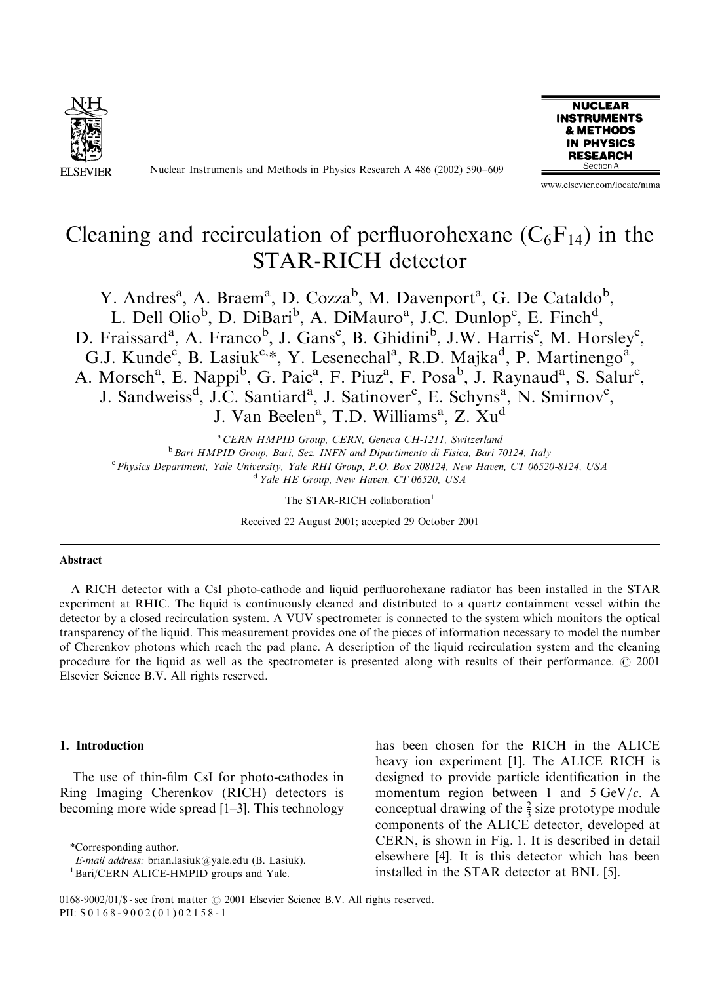

Nuclear Instruments and Methods in Physics Research A 486 (2002) 590–609



www.elsevier.com/locate/nima

# Cleaning and recirculation of perfluorohexane  $(C_6F_{14})$  in the STAR-RICH detector

Y. Andres<sup>a</sup>, A. Braem<sup>a</sup>, D. Cozza<sup>b</sup>, M. Davenport<sup>a</sup>, G. De Cataldo<sup>b</sup>, L. Dell Olio<sup>b</sup>, D. DiBari<sup>b</sup>, A. DiMauro<sup>a</sup>, J.C. Dunlop<sup>c</sup>, E. Finch<sup>d</sup>, D. Fraissard<sup>a</sup>, A. Franco<sup>b</sup>, J. Gans<sup>c</sup>, B. Ghidini<sup>b</sup>, J.W. Harris<sup>c</sup>, M. Horsley<sup>c</sup>, G.J. Kunde<sup>c</sup>, B. Lasiuk<sup>c,\*</sup>, Y. Lesenechal<sup>a</sup>, R.D. Majka<sup>d</sup>, P. Martinengo<sup>a</sup>, A. Morsch<sup>a</sup>, E. Nappi<sup>b</sup>, G. Paic<sup>a</sup>, F. Piuz<sup>a</sup>, F. Posa<sup>b</sup>, J. Raynaud<sup>a</sup>, S. Salur<sup>c</sup>, J. Sandweiss<sup>d</sup>, J.C. Santiard<sup>a</sup>, J. Satinover<sup>c</sup>, E. Schyns<sup>a</sup>, N. Smirnov<sup>c</sup>, J. Van Beelen<sup>a</sup>, T.D. Williams<sup>a</sup>, Z. Xu<sup>d</sup>

<sup>a</sup> CERN HMPID Group, CERN, Geneva CH-1211, Switzerland <sup>b</sup> Bari HMPID Group, Bari, Sez. INFN and Dipartimento di Fisica, Bari 70124, Italy <sup>c</sup> Physics Department, Yale University, Yale RHI Group, P.O. Box 208124, New Haven, CT 06520-8124, USA  $d$  Yale HE Group, New Haven, CT 06520, USA

The STAR-RICH collaboration<sup>1</sup>

Received 22 August 2001; accepted 29 October 2001

#### Abstract

A RICH detector with a CsI photo-cathode and liquid perfluorohexane radiator has been installed in the STAR experiment at RHIC. The liquid is continuously cleaned and distributed to a quartz containment vessel within the detector by a closed recirculation system. A VUV spectrometer is connected to the system which monitors the optical transparency of the liquid. This measurement provides one of the pieces of information necessary to model the number of Cherenkov photons which reach the pad plane. A description of the liquid recirculation system and the cleaning procedure for the liquid as well as the spectrometer is presented along with results of their performance.  $\odot$  2001 Elsevier Science B.V. All rights reserved.

# 1. Introduction

The use of thin-film CsI for photo-cathodes in Ring Imaging Cherenkov (RICH) detectors is becoming more wide spread [1–3]. This technology

has been chosen for the RICH in the ALICE heavy ion experiment [1]. The ALICE RICH is designed to provide particle identification in the momentum region between 1 and  $5 \text{ GeV}/c$ . A conceptual drawing of the  $\frac{2}{3}$  size prototype module components of the ALICE detector, developed at CERN, is shown in Fig. 1. It is described in detail elsewhere [4]. It is this detector which has been installed in the STAR detector at BNL [5].

<sup>\*</sup>Corresponding author.

E-mail address: brian.lasiuk@yale.edu (B. Lasiuk).

<sup>&</sup>lt;sup>1</sup>Bari/CERN ALICE-HMPID groups and Yale.

<sup>0168-9002/01/\$ -</sup> see front matter  $\odot$  2001 Elsevier Science B.V. All rights reserved. PII: S 0168-9002(01)02158-1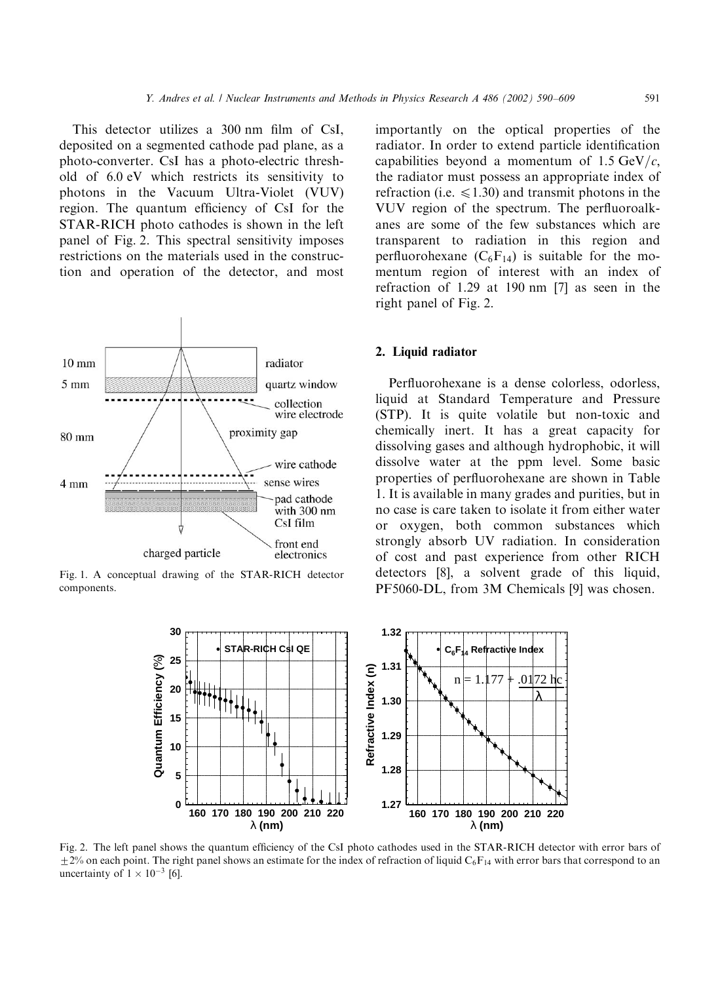This detector utilizes a 300 nm film of CsI, deposited on a segmented cathode pad plane, as a photo-converter. CsI has a photo-electric threshold of 6:0 eV which restricts its sensitivity to photons in the Vacuum Ultra-Violet (VUV) region. The quantum efficiency of CsI for the STAR-RICH photo cathodes is shown in the left panel of Fig. 2. This spectral sensitivity imposes restrictions on the materials used in the construction and operation of the detector, and most



Fig. 1. A conceptual drawing of the STAR-RICH detector components.

importantly on the optical properties of the radiator. In order to extend particle identification capabilities beyond a momentum of 1.5 GeV/c, the radiator must possess an appropriate index of refraction (i.e.  $\leq 1.30$ ) and transmit photons in the VUV region of the spectrum. The perfluoroalkanes are some of the few substances which are transparent to radiation in this region and perfluorohexane  $(C_6F_{14})$  is suitable for the momentum region of interest with an index of refraction of 1.29 at 190 nm [7] as seen in the right panel of Fig. 2.

## 2. Liquid radiator

Perfluorohexane is a dense colorless, odorless, liquid at Standard Temperature and Pressure (STP). It is quite volatile but non-toxic and chemically inert. It has a great capacity for dissolving gases and although hydrophobic, it will dissolve water at the ppm level. Some basic properties of perfluorohexane are shown in Table 1. It is available in many grades and purities, but in no case is care taken to isolate it from either water or oxygen, both common substances which strongly absorb UV radiation. In consideration of cost and past experience from other RICH detectors [8], a solvent grade of this liquid, PF5060-DL, from 3M Chemicals [9] was chosen.



Fig. 2. The left panel shows the quantum efficiency of the CsI photo cathodes used in the STAR-RICH detector with error bars of  $\pm 2\%$  on each point. The right panel shows an estimate for the index of refraction of liquid C<sub>6</sub>F<sub>14</sub> with error bars that correspond to an uncertainty of  $1 \times 10^{-3}$  [6].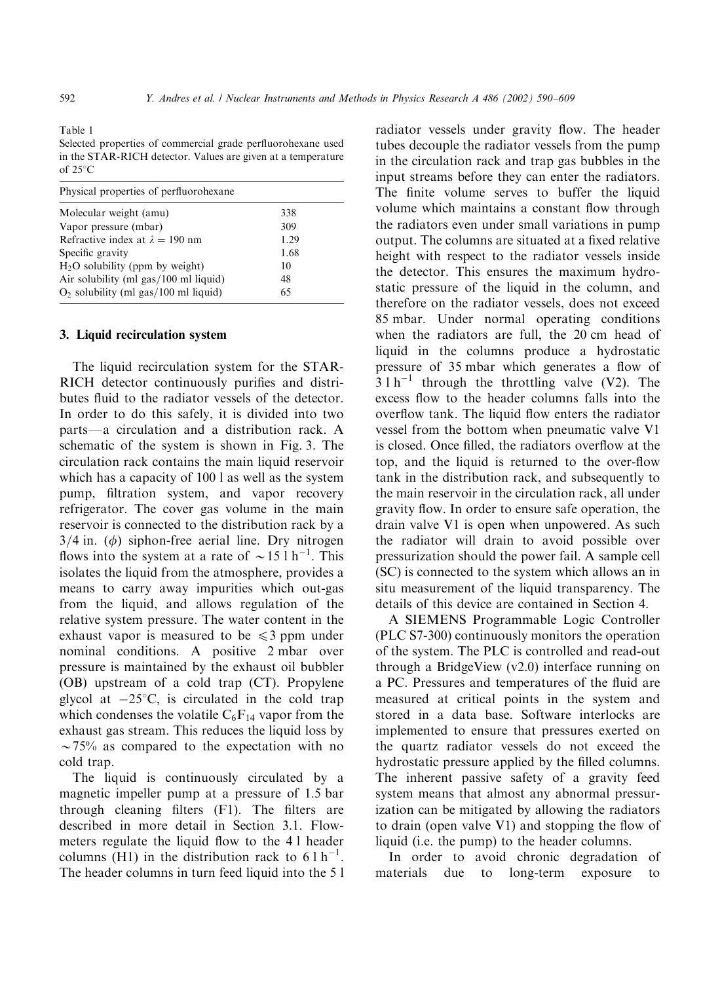Table 1

Selected properties of commercial grade perfluorohexane used in the STAR-RICH detector. Values are given at a temperature of  $25^{\circ}$ C

| Physical properties of perfluorohexane  |      |
|-----------------------------------------|------|
| Molecular weight (amu)                  | 338  |
| Vapor pressure (mbar)                   | 309  |
| Refractive index at $\lambda = 190$ nm  | 1.29 |
| Specific gravity                        | 1.68 |
| $H2O$ solubility (ppm by weight)        | 10   |
| Air solubility (ml $gas/100$ ml liquid) | 48   |
| $O_2$ solubility (ml gas/100 ml liquid) | 65   |

## 3. Liquid recirculation system

The liquid recirculation system for the STAR-RICH detector continuously purifies and distributes fluid to the radiator vessels of the detector. In order to do this safely, it is divided into two  $parts$  a circulation and a distribution rack. A schematic of the system is shown in Fig. 3. The circulation rack contains the main liquid reservoir which has a capacity of 100 l as well as the system pump, filtration system, and vapor recovery refrigerator. The cover gas volume in the main reservoir is connected to the distribution rack by a  $3/4$  in. ( $\phi$ ) siphon-free aerial line. Dry nitrogen flows into the system at a rate of  $\sim 15 \ln^{-1}$ . This isolates the liquid from the atmosphere, provides a means to carry away impurities which out-gas from the liquid, and allows regulation of the relative system pressure. The water content in the exhaust vapor is measured to be  $\leq$ 3 ppm under nominal conditions. A positive 2 mbar over pressure is maintained by the exhaust oil bubbler (OB) upstream of a cold trap (CT). Propylene glycol at  $-25^{\circ}$ C, is circulated in the cold trap which condenses the volatile  $C_6F_{14}$  vapor from the exhaust gas stream. This reduces the liquid loss by  $\sim$ 75% as compared to the expectation with no cold trap.

The liquid is continuously circulated by a magnetic impeller pump at a pressure of 1:5 bar through cleaning filters (F1). The filters are described in more detail in Section 3.1. Flowmeters regulate the liquid flow to the 4 l header columns (H1) in the distribution rack to  $61 h^{-1}$ . The header columns in turn feed liquid into the 5 l radiator vessels under gravity flow. The header tubes decouple the radiator vessels from the pump in the circulation rack and trap gas bubbles in the input streams before they can enter the radiators. The finite volume serves to buffer the liquid volume which maintains a constant flow through the radiators even under small variations in pump output. The columns are situated at a fixed relative height with respect to the radiator vessels inside the detector. This ensures the maximum hydrostatic pressure of the liquid in the column, and therefore on the radiator vessels, does not exceed 85 mbar: Under normal operating conditions when the radiators are full, the 20 cm head of liquid in the columns produce a hydrostatic pressure of 35 mbar which generates a flow of  $31 h^{-1}$  through the throttling valve (V2). The excess flow to the header columns falls into the overflow tank. The liquid flow enters the radiator vessel from the bottom when pneumatic valve V1 is closed. Once filled, the radiators overflow at the top, and the liquid is returned to the over-flow tank in the distribution rack, and subsequently to the main reservoir in the circulation rack, all under gravity flow. In order to ensure safe operation, the drain valve V1 is open when unpowered. As such the radiator will drain to avoid possible over pressurization should the power fail. A sample cell (SC) is connected to the system which allows an in situ measurement of the liquid transparency. The details of this device are contained in Section 4.

A SIEMENS Programmable Logic Controller (PLCS7-300) continuously monitors the operation of the system. The PLC is controlled and read-out through a BridgeView (v2.0) interface running on a PC. Pressures and temperatures of the fluid are measured at critical points in the system and stored in a data base. Software interlocks are implemented to ensure that pressures exerted on the quartz radiator vessels do not exceed the hydrostatic pressure applied by the filled columns. The inherent passive safety of a gravity feed system means that almost any abnormal pressurization can be mitigated by allowing the radiators to drain (open valve V1) and stopping the flow of liquid (i.e. the pump) to the header columns.

In order to avoid chronic degradation of materials due to long-term exposure to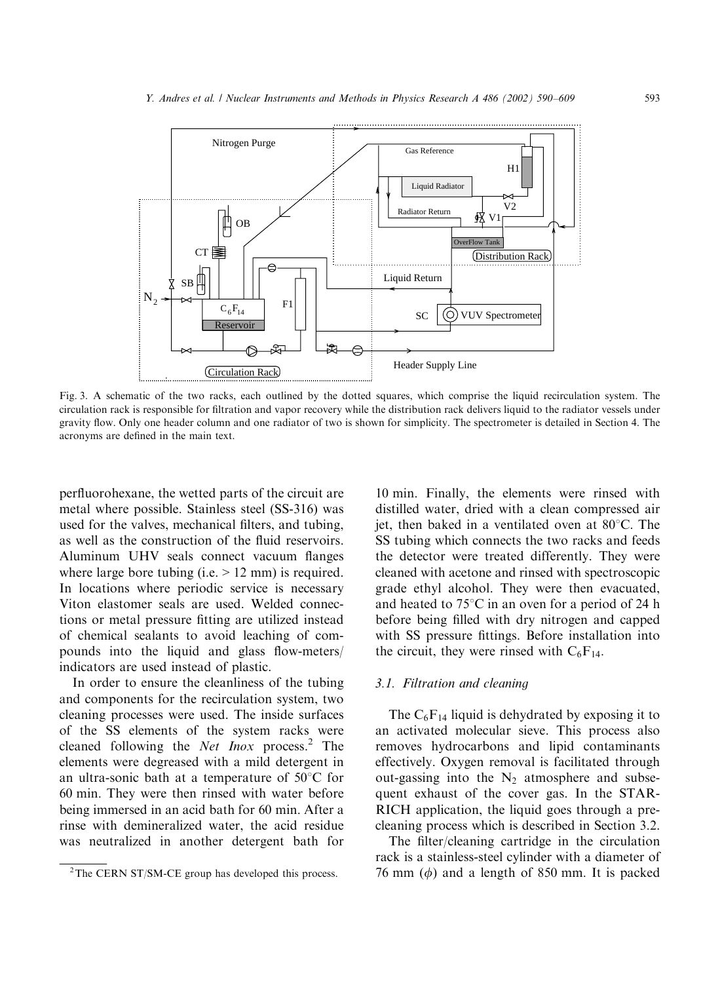

Fig. 3. A schematic of the two racks, each outlined by the dotted squares, which comprise the liquid recirculation system. The circulation rack is responsible for filtration and vapor recovery while the distribution rack delivers liquid to the radiator vessels under gravity flow. Only one header column and one radiator of two is shown for simplicity. The spectrometer is detailed in Section 4. The acronyms are defined in the main text.

perfluorohexane, the wetted parts of the circuit are metal where possible. Stainless steel (SS-316) was used for the valves, mechanical filters, and tubing, as well as the construction of the fluid reservoirs. Aluminum UHV seals connect vacuum flanges where large bore tubing  $(i.e. > 12$  mm) is required. In locations where periodic service is necessary Viton elastomer seals are used. Welded connections or metal pressure fitting are utilized instead of chemical sealants to avoid leaching of compounds into the liquid and glass flow-meters/ indicators are used instead of plastic.

In order to ensure the cleanliness of the tubing and components for the recirculation system, two cleaning processes were used. The inside surfaces of the SS elements of the system racks were cleaned following the *Net Inox* process.<sup>2</sup> The elements were degreased with a mild detergent in an ultra-sonic bath at a temperature of  $50^{\circ}$ C for 60 min: They were then rinsed with water before being immersed in an acid bath for 60 min: After a rinse with demineralized water, the acid residue was neutralized in another detergent bath for

10 min: Finally, the elements were rinsed with distilled water, dried with a clean compressed air iet, then baked in a ventilated oven at  $80^{\circ}$ C. The SS tubing which connects the two racks and feeds the detector were treated differently. They were cleaned with acetone and rinsed with spectroscopic grade ethyl alcohol. They were then evacuated, and heated to  $75^{\circ}$ C in an oven for a period of 24 h before being filled with dry nitrogen and capped with SS pressure fittings. Before installation into the circuit, they were rinsed with  $C_6F_{14}$ .

# 3.1. Filtration and cleaning

The  $C_6F_{14}$  liquid is dehydrated by exposing it to an activated molecular sieve. This process also removes hydrocarbons and lipid contaminants effectively. Oxygen removal is facilitated through out-gassing into the  $N_2$  atmosphere and subsequent exhaust of the cover gas. In the STAR-RICH application, the liquid goes through a precleaning process which is described in Section 3.2.

The filter/cleaning cartridge in the circulation rack is a stainless-steel cylinder with a diameter of 76 mm  $(\phi)$  and a length of 850 mm. It is packed

 $2$ The CERN ST/SM-CE group has developed this process.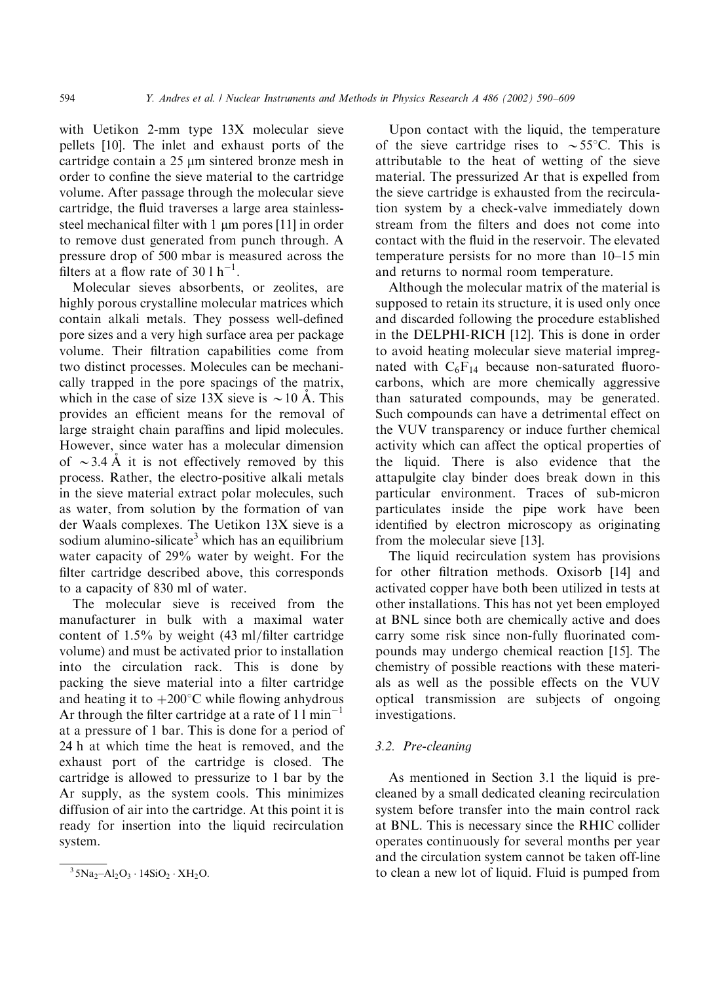with Uetikon 2-mm type 13X molecular sieve pellets [10]. The inlet and exhaust ports of the cartridge contain a  $25 \mu m$  sintered bronze mesh in order to confine the sieve material to the cartridge volume. After passage through the molecular sieve cartridge, the fluid traverses a large area stainlesssteel mechanical filter with  $1 \mu m$  pores [11] in order to remove dust generated from punch through. A pressure drop of 500 mbar is measured across the filters at a flow rate of  $30 \, 1 \, \text{h}^{-1}$ .

Molecular sieves absorbents, or zeolites, are highly porous crystalline molecular matrices which contain alkali metals. They possess well-defined pore sizes and a very high surface area per package volume. Their filtration capabilities come from two distinct processes. Molecules can be mechanically trapped in the pore spacings of the matrix, which in the case of size 13X sieve is  $\sim$  10 A. This provides an efficient means for the removal of large straight chain paraffins and lipid molecules. However, since water has a molecular dimension of  $\sim$ 3.4 Å it is not effectively removed by this process. Rather, the electro-positive alkali metals in the sieve material extract polar molecules, such as water, from solution by the formation of van der Waals complexes. The Uetikon 13X sieve is a sodium alumino-silicate<sup>3</sup> which has an equilibrium water capacity of 29% water by weight. For the filter cartridge described above, this corresponds to a capacity of 830 ml of water.

The molecular sieve is received from the manufacturer in bulk with a maximal water content of  $1.5\%$  by weight (43 ml/filter cartridge volume) and must be activated prior to installation into the circulation rack. This is done by packing the sieve material into a filter cartridge and heating it to  $+200^{\circ}$ C while flowing anhydrous Ar through the filter cartridge at a rate of  $11$  min<sup>-1</sup> at a pressure of 1 bar: This is done for a period of 24 h at which time the heat is removed, and the exhaust port of the cartridge is closed. The cartridge is allowed to pressurize to 1 bar by the Ar supply, as the system cools. This minimizes diffusion of air into the cartridge. At this point it is ready for insertion into the liquid recirculation system.

Upon contact with the liquid, the temperature of the sieve cartridge rises to  $\sim$  55°C. This is attributable to the heat of wetting of the sieve material. The pressurized Ar that is expelled from the sieve cartridge is exhausted from the recirculation system by a check-valve immediately down stream from the filters and does not come into contact with the fluid in the reservoir. The elevated temperature persists for no more than 10–15 min and returns to normal room temperature.

Although the molecular matrix of the material is supposed to retain its structure, it is used only once and discarded following the procedure established in the DELPHI-RICH [12]. This is done in order to avoid heating molecular sieve material impregnated with  $C_6F_{14}$  because non-saturated fluorocarbons, which are more chemically aggressive than saturated compounds, may be generated. Such compounds can have a detrimental effect on the VUV transparency or induce further chemical activity which can affect the optical properties of the liquid. There is also evidence that the attapulgite clay binder does break down in this particular environment. Traces of sub-micron particulates inside the pipe work have been identified by electron microscopy as originating from the molecular sieve [13].

The liquid recirculation system has provisions for other filtration methods. Oxisorb [14] and activated copper have both been utilized in tests at other installations. This has not yet been employed at BNL since both are chemically active and does carry some risk since non-fully fluorinated compounds may undergo chemical reaction [15]. The chemistry of possible reactions with these materials as well as the possible effects on the VUV optical transmission are subjects of ongoing investigations.

### 3.2. Pre-cleaning

As mentioned in Section 3.1 the liquid is precleaned by a small dedicated cleaning recirculation system before transfer into the main control rack at BNL. This is necessary since the RHIC collider operates continuously for several months per year and the circulation system cannot be taken off-line  $3.3 \text{S}$ Na<sub>2</sub>–Al<sub>2</sub>O<sub>3</sub> · 14SiO<sub>2</sub> · XH<sub>2</sub>O. to clean a new lot of liquid. Fluid is pumped from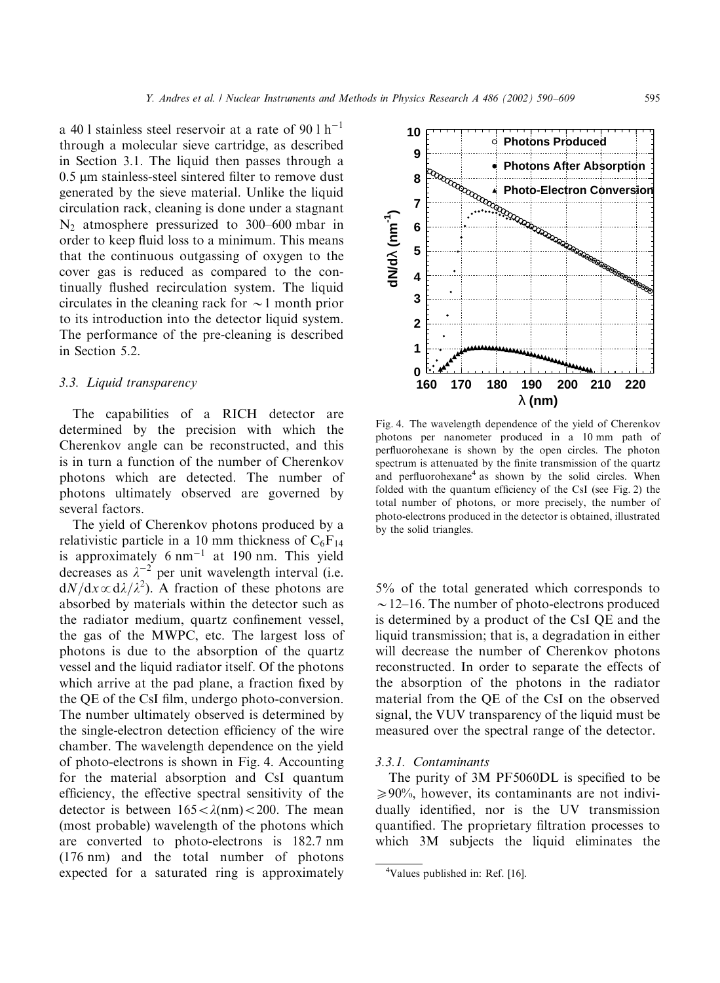a 40 l stainless steel reservoir at a rate of 90 l  $h^{-1}$ through a molecular sieve cartridge, as described in Section 3.1. The liquid then passes through a 0.5 µm stainless-steel sintered filter to remove dust generated by the sieve material. Unlike the liquid circulation rack, cleaning is done under a stagnant  $N_2$  atmosphere pressurized to 300–600 mbar in order to keep fluid loss to a minimum. This means that the continuous outgassing of oxygen to the cover gas is reduced as compared to the continually flushed recirculation system. The liquid circulates in the cleaning rack for  $\sim$  1 month prior to its introduction into the detector liquid system. The performance of the pre-cleaning is described in Section 5.2.

#### 3.3. Liquid transparency

The capabilities of a RICH detector are determined by the precision with which the Cherenkov angle can be reconstructed, and this is in turn a function of the number of Cherenkov photons which are detected. The number of photons ultimately observed are governed by several factors.

The yield of Cherenkov photons produced by a relativistic particle in a 10 mm thickness of  $C_6F_{14}$ is approximately  $6 \text{ nm}^{-1}$  at 190 nm. This yield decreases as  $\lambda^{-2}$  per unit wavelength interval (i.e.  $dN/dx \propto d\lambda/\lambda^2$ ). A fraction of these photons are absorbed by materials within the detector such as the radiator medium, quartz confinement vessel, the gas of the MWPC, etc. The largest loss of photons is due to the absorption of the quartz vessel and the liquid radiator itself. Of the photons which arrive at the pad plane, a fraction fixed by the QE of the CsI film, undergo photo-conversion. The number ultimately observed is determined by the single-electron detection efficiency of the wire chamber. The wavelength dependence on the yield of photo-electrons is shown in Fig. 4. Accounting for the material absorption and CsI quantum efficiency, the effective spectral sensitivity of the detector is between  $165 < \lambda$ (nm) $< 200$ . The mean (most probable) wavelength of the photons which are converted to photo-electrons is 182:7 nm (176 nm) and the total number of photons expected for a saturated ring is approximately



Fig. 4. The wavelength dependence of the yield of Cherenkov photons per nanometer produced in a 10 mm path of perfluorohexane is shown by the open circles. The photon spectrum is attenuated by the finite transmission of the quartz and perfluorohexane<sup>4</sup> as shown by the solid circles. When folded with the quantum efficiency of the CsI (see Fig. 2) the total number of photons, or more precisely, the number of photo-electrons produced in the detector is obtained, illustrated by the solid triangles.

5% of the total generated which corresponds to  $\sim$  12–16. The number of photo-electrons produced is determined by a product of the CsI QE and the liquid transmission; that is, a degradation in either will decrease the number of Cherenkov photons reconstructed. In order to separate the effects of the absorption of the photons in the radiator material from the QE of the CsI on the observed signal, the VUV transparency of the liquid must be measured over the spectral range of the detector.

#### 3.3.1. Contaminants

The purity of 3M PF5060DL is specified to be  $\geqslant$  90%, however, its contaminants are not individually identified, nor is the UV transmission quantified. The proprietary filtration processes to which 3M subjects the liquid eliminates the

<sup>&</sup>lt;sup>4</sup>Values published in: Ref. [16].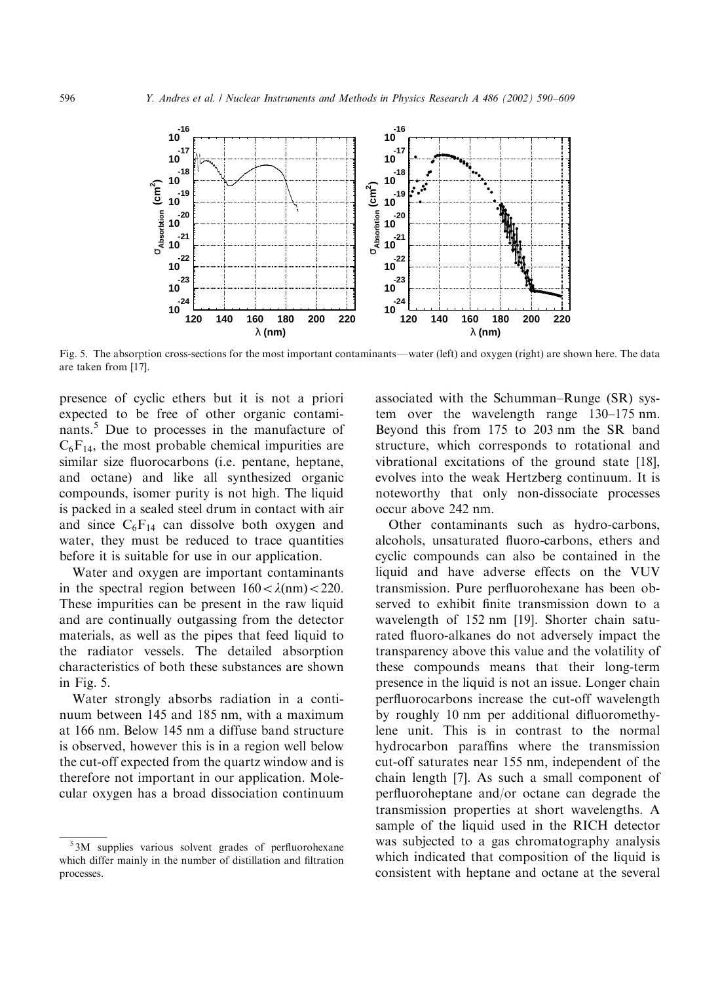

Fig. 5. The absorption cross-sections for the most important contaminants—water (left) and oxygen (right) are shown here. The data are taken from [17].

presence of cyclic ethers but it is not a priori expected to be free of other organic contaminants.<sup>5</sup> Due to processes in the manufacture of  $C_6F_{14}$ , the most probable chemical impurities are similar size fluorocarbons (i.e. pentane, heptane, and octane) and like all synthesized organic compounds, isomer purity is not high. The liquid is packed in a sealed steel drum in contact with air and since  $C_6F_{14}$  can dissolve both oxygen and water, they must be reduced to trace quantities before it is suitable for use in our application.

Water and oxygen are important contaminants in the spectral region between  $160 < \lambda$ (nm) $< 220$ . These impurities can be present in the raw liquid and are continually outgassing from the detector materials, as well as the pipes that feed liquid to the radiator vessels. The detailed absorption characteristics of both these substances are shown in Fig. 5.

Water strongly absorbs radiation in a continuum between 145 and 185 nm; with a maximum at 166 nm: Below 145 nm a diffuse band structure is observed, however this is in a region well below the cut-off expected from the quartz window and is therefore not important in our application. Molecular oxygen has a broad dissociation continuum

associated with the Schumman–Runge (SR) system over the wavelength range 130–175 nm: Beyond this from 175 to 203 nm the SR band structure, which corresponds to rotational and vibrational excitations of the ground state [18], evolves into the weak Hertzberg continuum. It is noteworthy that only non-dissociate processes occur above 242 nm:

Other contaminants such as hydro-carbons, alcohols, unsaturated fluoro-carbons, ethers and cyclic compounds can also be contained in the liquid and have adverse effects on the VUV transmission. Pure perfluorohexane has been observed to exhibit finite transmission down to a wavelength of 152 nm [19]. Shorter chain saturated fluoro-alkanes do not adversely impact the transparency above this value and the volatility of these compounds means that their long-term presence in the liquid is not an issue. Longer chain perfluorocarbons increase the cut-off wavelength by roughly 10 nm per additional difluoromethylene unit. This is in contrast to the normal hydrocarbon paraffins where the transmission cut-off saturates near 155 nm; independent of the chain length [7]. As such a small component of perfluoroheptane and/or octane can degrade the transmission properties at short wavelengths. A sample of the liquid used in the RICH detector was subjected to a gas chromatography analysis which indicated that composition of the liquid is consistent with heptane and octane at the several

<sup>&</sup>lt;sup>5</sup>3M supplies various solvent grades of perfluorohexane which differ mainly in the number of distillation and filtration processes.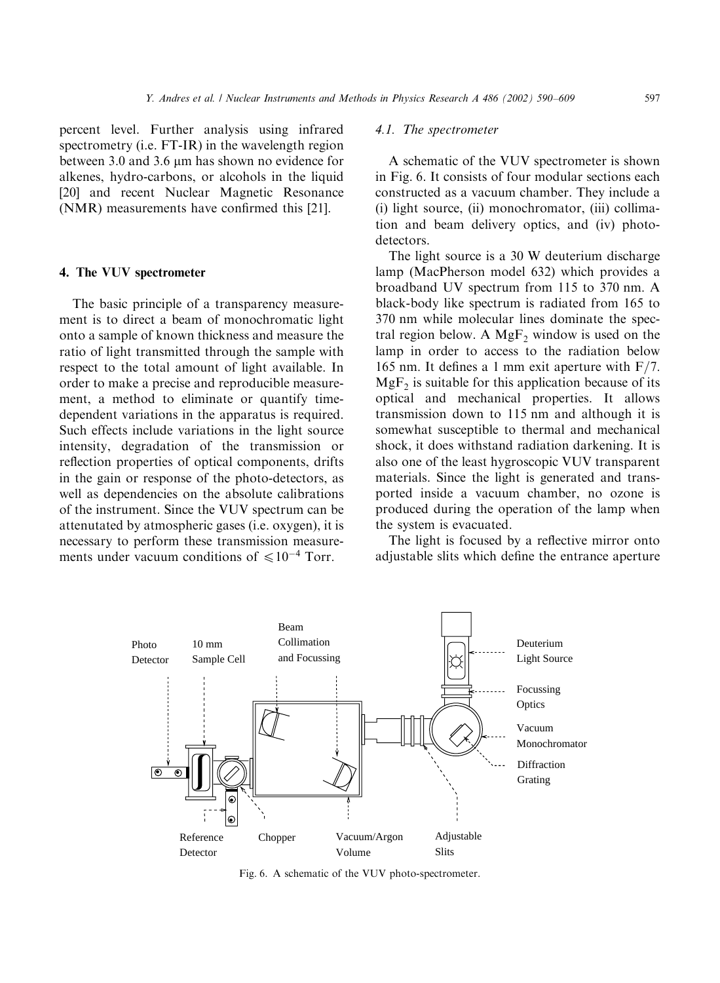percent level. Further analysis using infrared spectrometry (i.e. FT-IR) in the wavelength region between 3.0 and 3.6 um has shown no evidence for alkenes, hydro-carbons, or alcohols in the liquid [20] and recent Nuclear Magnetic Resonance (NMR) measurements have confirmed this [21].

## 4. The VUV spectrometer

The basic principle of a transparency measurement is to direct a beam of monochromatic light onto a sample of known thickness and measure the ratio of light transmitted through the sample with respect to the total amount of light available. In order to make a precise and reproducible measurement, a method to eliminate or quantify timedependent variations in the apparatus is required. Such effects include variations in the light source intensity, degradation of the transmission or reflection properties of optical components, drifts in the gain or response of the photo-detectors, as well as dependencies on the absolute calibrations of the instrument. Since the VUV spectrum can be attenutated by atmospheric gases (i.e. oxygen), it is necessary to perform these transmission measurements under vacuum conditions of  $\leq 10^{-4}$  Torr.

## 4.1. The spectrometer

A schematic of the VUV spectrometer is shown in Fig. 6. It consists of four modular sections each constructed as a vacuum chamber. They include a (i) light source, (ii) monochromator, (iii) collimation and beam delivery optics, and (iv) photodetectors.

The light source is a 30 W deuterium discharge lamp (MacPherson model 632) which provides a broadband UV spectrum from 115 to 370 nm: A black-body like spectrum is radiated from 165 to 370 nm while molecular lines dominate the spectral region below. A  $MgF_2$  window is used on the lamp in order to access to the radiation below 165 nm. It defines a 1 mm exit aperture with  $F/7$ .  $MgF<sub>2</sub>$  is suitable for this application because of its optical and mechanical properties. It allows transmission down to 115 nm and although it is somewhat susceptible to thermal and mechanical shock, it does withstand radiation darkening. It is also one of the least hygroscopic VUV transparent materials. Since the light is generated and transported inside a vacuum chamber, no ozone is produced during the operation of the lamp when the system is evacuated.

The light is focused by a reflective mirror onto adjustable slits which define the entrance aperture



Fig. 6. A schematic of the VUV photo-spectrometer.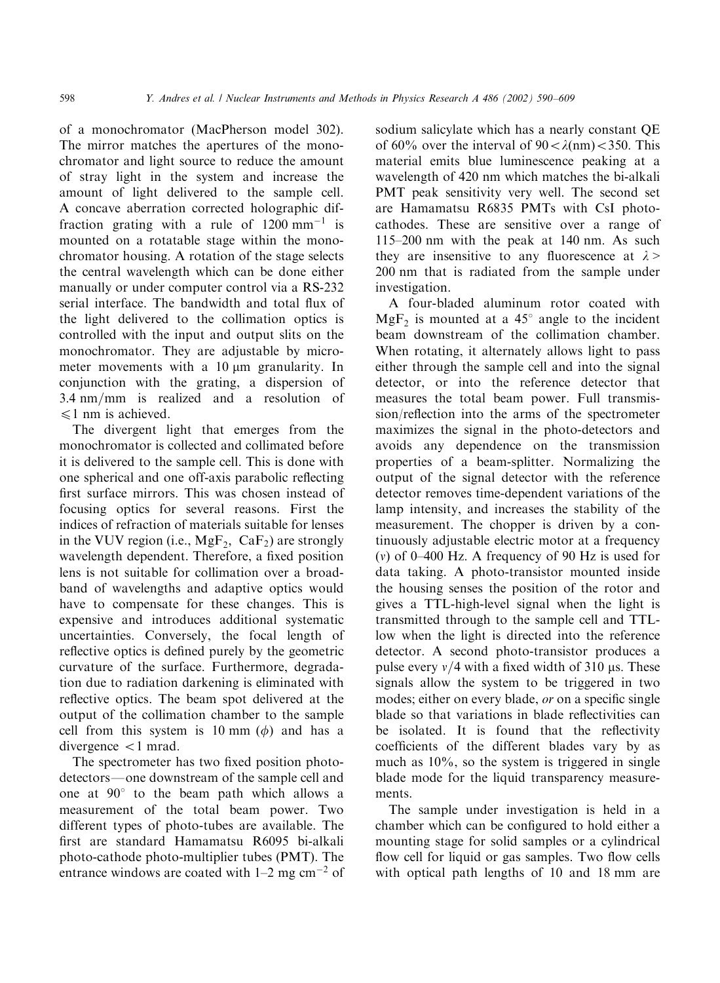of a monochromator (MacPherson model 302). The mirror matches the apertures of the monochromator and light source to reduce the amount of stray light in the system and increase the amount of light delivered to the sample cell. A concave aberration corrected holographic diffraction grating with a rule of  $1200 \text{ mm}^{-1}$  is mounted on a rotatable stage within the monochromator housing. A rotation of the stage selects the central wavelength which can be done either manually or under computer control via a RS-232 serial interface. The bandwidth and total flux of the light delivered to the collimation optics is controlled with the input and output slits on the monochromator. They are adjustable by micrometer movements with a  $10 \mu m$  granularity. In conjunction with the grating, a dispersion of  $3.4 \text{ nm/mm}$  is realized and a resolution of  $\leq 1$  nm is achieved.

The divergent light that emerges from the monochromator is collected and collimated before it is delivered to the sample cell. This is done with one spherical and one off-axis parabolic reflecting first surface mirrors. This was chosen instead of focusing optics for several reasons. First the indices of refraction of materials suitable for lenses in the VUV region (i.e.,  $MgF_2$ ,  $CaF_2$ ) are strongly wavelength dependent. Therefore, a fixed position lens is not suitable for collimation over a broadband of wavelengths and adaptive optics would have to compensate for these changes. This is expensive and introduces additional systematic uncertainties. Conversely, the focal length of reflective optics is defined purely by the geometric curvature of the surface. Furthermore, degradation due to radiation darkening is eliminated with reflective optics. The beam spot delivered at the output of the collimation chamber to the sample cell from this system is 10 mm  $(\phi)$  and has a  $divergence < 1$  mrad.

The spectrometer has two fixed position photodetectors—one downstream of the sample cell and one at  $90^{\circ}$  to the beam path which allows a measurement of the total beam power. Two different types of photo-tubes are available. The first are standard Hamamatsu R6095 bi-alkali photo-cathode photo-multiplier tubes (PMT). The entrance windows are coated with  $1-2$  mg cm<sup>-2</sup> of

sodium salicylate which has a nearly constant QE of 60% over the interval of  $90 < \lambda$ (nm) $<$ 350. This material emits blue luminescence peaking at a wavelength of 420 nm which matches the bi-alkali PMT peak sensitivity very well. The second set are Hamamatsu R6835 PMTs with CsI photocathodes. These are sensitive over a range of 115–200 nm with the peak at 140 nm: As such they are insensitive to any fluorescence at  $\lambda$  > 200 nm that is radiated from the sample under investigation.

A four-bladed aluminum rotor coated with  $MgF_2$  is mounted at a 45° angle to the incident beam downstream of the collimation chamber. When rotating, it alternately allows light to pass either through the sample cell and into the signal detector, or into the reference detector that measures the total beam power. Full transmission/reflection into the arms of the spectrometer maximizes the signal in the photo-detectors and avoids any dependence on the transmission properties of a beam-splitter. Normalizing the output of the signal detector with the reference detector removes time-dependent variations of the lamp intensity, and increases the stability of the measurement. The chopper is driven by a continuously adjustable electric motor at a frequency (v) of 0–400 Hz. A frequency of 90 Hz is used for data taking. A photo-transistor mounted inside the housing senses the position of the rotor and gives a TTL-high-level signal when the light is transmitted through to the sample cell and TTLlow when the light is directed into the reference detector. A second photo-transistor produces a pulse every  $v/4$  with a fixed width of 310 µs. These signals allow the system to be triggered in two modes; either on every blade, or on a specific single blade so that variations in blade reflectivities can be isolated. It is found that the reflectivity coefficients of the different blades vary by as much as 10%, so the system is triggered in single blade mode for the liquid transparency measurements.

The sample under investigation is held in a chamber which can be configured to hold either a mounting stage for solid samples or a cylindrical flow cell for liquid or gas samples. Two flow cells with optical path lengths of 10 and 18 mm are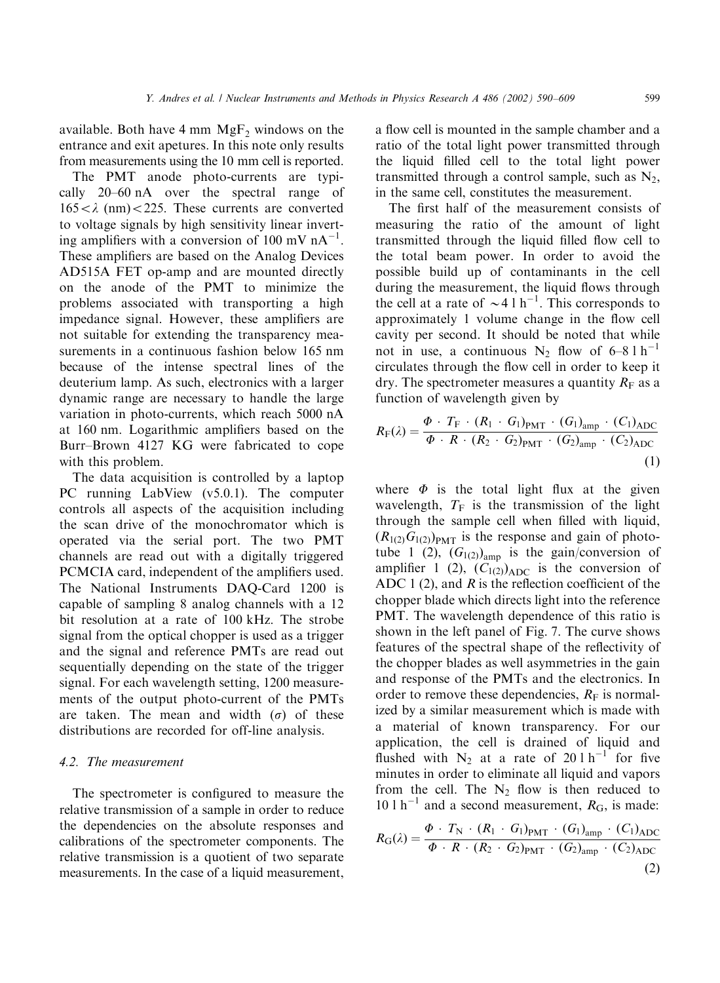available. Both have  $4 \text{ mm MgF}_2$  windows on the entrance and exit apetures. In this note only results from measurements using the 10 mm cell is reported.

The PMT anode photo-currents are typically 20–60 nA over the spectral range of  $165 < \lambda$  (nm) $< 225$ . These currents are converted to voltage signals by high sensitivity linear inverting amplifiers with a conversion of 100 mV  $nA^{-1}$ . These amplifiers are based on the Analog Devices AD515A FET op-amp and are mounted directly on the anode of the PMT to minimize the problems associated with transporting a high impedance signal. However, these amplifiers are not suitable for extending the transparency measurements in a continuous fashion below 165 nm because of the intense spectral lines of the deuterium lamp. As such, electronics with a larger dynamic range are necessary to handle the large variation in photo-currents, which reach 5000 nA at 160 nm: Logarithmic amplifiers based on the Burr–Brown 4127 KG were fabricated to cope with this problem.

The data acquisition is controlled by a laptop PC running LabView  $(v5.0.1)$ . The computer controls all aspects of the acquisition including the scan drive of the monochromator which is operated via the serial port. The two PMT channels are read out with a digitally triggered PCMCIA card, independent of the amplifiers used. The National Instruments DAQ-Card 1200 is capable of sampling 8 analog channels with a 12 bit resolution at a rate of 100 kHz. The strobe signal from the optical chopper is used as a trigger and the signal and reference PMTs are read out sequentially depending on the state of the trigger signal. For each wavelength setting, 1200 measurements of the output photo-current of the PMTs are taken. The mean and width  $(\sigma)$  of these distributions are recorded for off-line analysis.

# 4.2. The measurement

The spectrometer is configured to measure the relative transmission of a sample in order to reduce the dependencies on the absolute responses and calibrations of the spectrometer components. The relative transmission is a quotient of two separate measurements. In the case of a liquid measurement,

a flow cell is mounted in the sample chamber and a ratio of the total light power transmitted through the liquid filled cell to the total light power transmitted through a control sample, such as  $N_2$ , in the same cell, constitutes the measurement.

The first half of the measurement consists of measuring the ratio of the amount of light transmitted through the liquid filled flow cell to the total beam power. In order to avoid the possible build up of contaminants in the cell during the measurement, the liquid flows through the cell at a rate of  $\sim$  4 l h<sup>-1</sup>. This corresponds to approximately 1 volume change in the flow cell cavity per second. It should be noted that while not in use, a continuous  $N_2$  flow of 6–8 l h<sup>-1</sup> circulates through the flow cell in order to keep it dry. The spectrometer measures a quantity  $R_F$  as a function of wavelength given by

$$
R_{\rm F}(\lambda) = \frac{\Phi \cdot T_{\rm F} \cdot (R_1 \cdot G_1)_{\rm PMT} \cdot (G_1)_{\rm amp} \cdot (C_1)_{\rm ADC}}{\Phi \cdot R \cdot (R_2 \cdot G_2)_{\rm PMT} \cdot (G_2)_{\rm amp} \cdot (C_2)_{\rm ADC}}
$$
\n(1)

where  $\Phi$  is the total light flux at the given wavelength,  $T_F$  is the transmission of the light through the sample cell when filled with liquid,  $(R_{1(2)}G_{1(2)})_{\text{PMT}}$  is the response and gain of phototube 1 (2),  $(G_{1(2)})_{\text{amp}}$  is the gain/conversion of amplifier 1 (2),  $(C_{1(2)})_{ADC}$  is the conversion of ADC 1 (2), and  $R$  is the reflection coefficient of the chopper blade which directs light into the reference PMT. The wavelength dependence of this ratio is shown in the left panel of Fig. 7. The curve shows features of the spectral shape of the reflectivity of the chopper blades as well asymmetries in the gain and response of the PMTs and the electronics. In order to remove these dependencies,  $R_F$  is normalized by a similar measurement which is made with a material of known transparency. For our application, the cell is drained of liquid and flushed with  $N_2$  at a rate of 20 l h<sup>-1</sup> for five minutes in order to eliminate all liquid and vapors from the cell. The  $N_2$  flow is then reduced to 10 l  $h^{-1}$  and a second measurement,  $R_G$ , is made:

$$
R_{\text{G}}(\lambda) = \frac{\Phi \cdot T_{\text{N}} \cdot (R_1 \cdot G_1)_{\text{PMT}} \cdot (G_1)_{\text{amp}} \cdot (C_1)_{\text{ADC}}}{\Phi \cdot R \cdot (R_2 \cdot G_2)_{\text{PMT}} \cdot (G_2)_{\text{amp}} \cdot (C_2)_{\text{ADC}}}
$$
(2)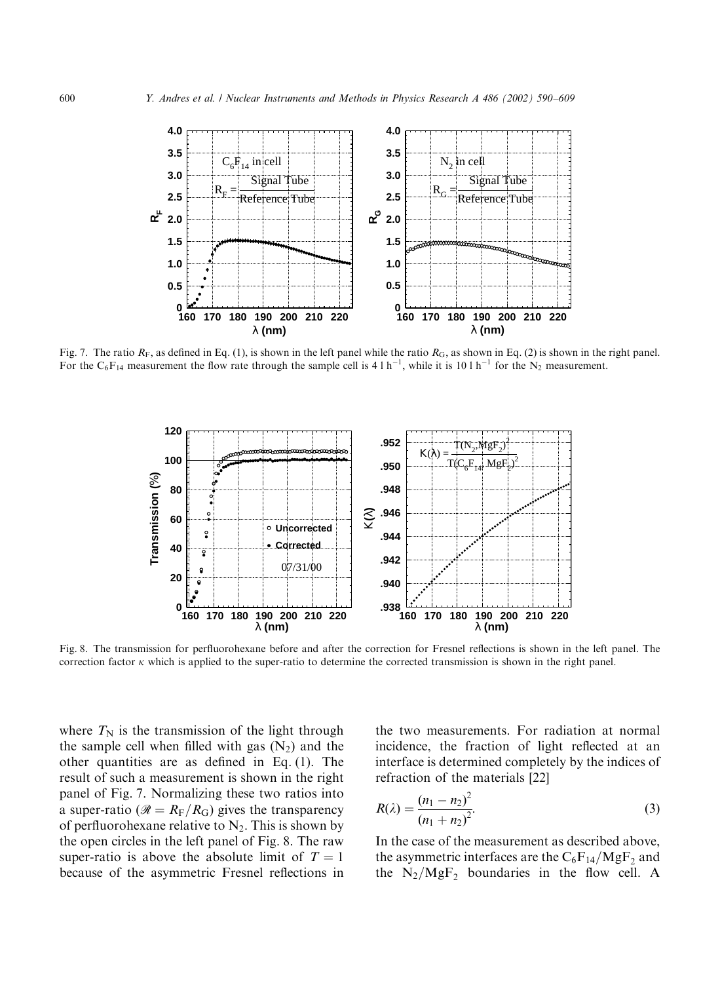

Fig. 7. The ratio  $R_F$ , as defined in Eq. (1), is shown in the left panel while the ratio  $R_G$ , as shown in Eq. (2) is shown in the right panel. For the C<sub>6</sub>F<sub>14</sub> measurement the flow rate through the sample cell is 4 l h<sup>-1</sup>, while it is 10 l h<sup>-1</sup> for the N<sub>2</sub> measurement.



Fig. 8. The transmission for perfluorohexane before and after the correction for Fresnel reflections is shown in the left panel. The correction factor  $\kappa$  which is applied to the super-ratio to determine the corrected transmission is shown in the right panel.

where  $T_N$  is the transmission of the light through the sample cell when filled with gas  $(N_2)$  and the other quantities are as defined in Eq. (1). The result of such a measurement is shown in the right panel of Fig. 7. Normalizing these two ratios into a super-ratio ( $\mathcal{R} = R_{\rm F}/R_{\rm G}$ ) gives the transparency of perfluorohexane relative to  $N_2$ . This is shown by the open circles in the left panel of Fig. 8. The raw super-ratio is above the absolute limit of  $T = 1$ because of the asymmetric Fresnel reflections in

the two measurements. For radiation at normal incidence, the fraction of light reflected at an interface is determined completely by the indices of refraction of the materials [22]

$$
R(\lambda) = \frac{(n_1 - n_2)^2}{(n_1 + n_2)^2}.
$$
 (3)

In the case of the measurement as described above, the asymmetric interfaces are the  $C_6F_{14}/MgF_2$  and the  $N_2/MgF_2$  boundaries in the flow cell. A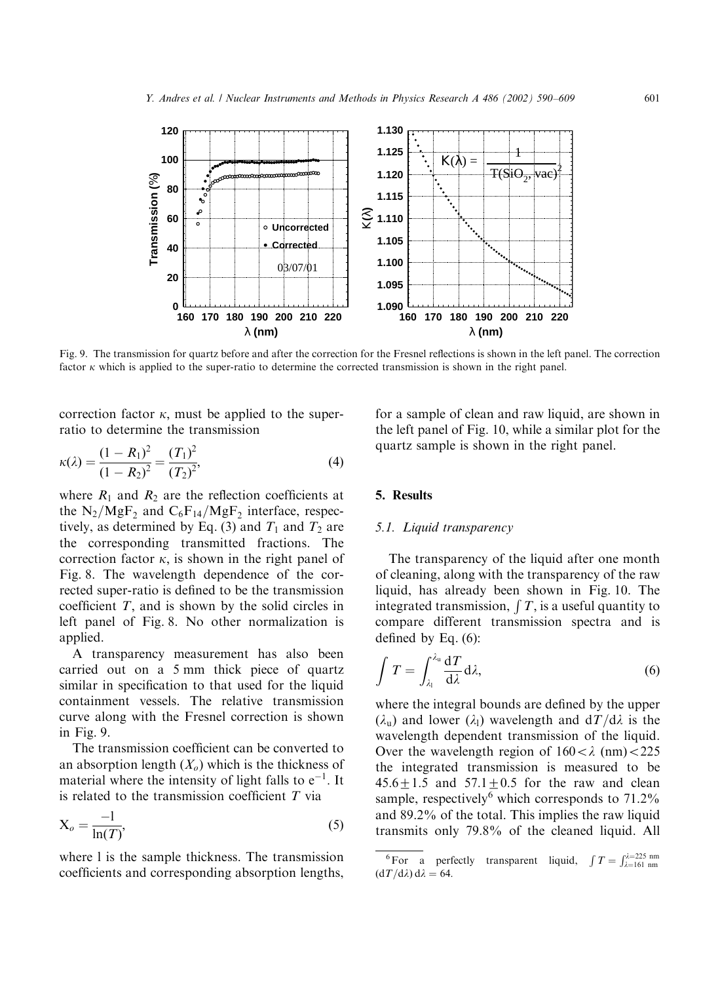

Fig. 9. The transmission for quartz before and after the correction for the Fresnel reflections is shown in the left panel. The correction factor  $\kappa$  which is applied to the super-ratio to determine the corrected transmission is shown in the right panel.

correction factor  $\kappa$ , must be applied to the superratio to determine the transmission

$$
\kappa(\lambda) = \frac{(1 - R_1)^2}{(1 - R_2)^2} = \frac{(T_1)^2}{(T_2)^2},\tag{4}
$$

where  $R_1$  and  $R_2$  are the reflection coefficients at the  $N_2/MgF_2$  and  $C_6F_{14}/MgF_2$  interface, respectively, as determined by Eq. (3) and  $T_1$  and  $T_2$  are the corresponding transmitted fractions. The correction factor  $\kappa$ , is shown in the right panel of Fig. 8. The wavelength dependence of the corrected super-ratio is defined to be the transmission coefficient  $T$ , and is shown by the solid circles in left panel of Fig. 8. No other normalization is applied.

A transparency measurement has also been carried out on a 5 mm thick piece of quartz similar in specification to that used for the liquid containment vessels. The relative transmission curve along with the Fresnel correction is shown in Fig. 9.

The transmission coefficient can be converted to an absorption length  $(X<sub>o</sub>)$  which is the thickness of material where the intensity of light falls to  $e^{-1}$ . It is related to the transmission coefficient  $T$  via

$$
X_o = \frac{-1}{\ln(T)},\tag{5}
$$

where l is the sample thickness. The transmission coefficients and corresponding absorption lengths, for a sample of clean and raw liquid, are shown in the left panel of Fig. 10, while a similar plot for the quartz sample is shown in the right panel.

# 5. Results

#### 5.1. Liquid transparency

The transparency of the liquid after one month of cleaning, along with the transparency of the raw liquid, has already been shown in Fig. 10. The integrated transmission,  $\int T$ , is a useful quantity to compare different transmission spectra and is defined by Eq. (6):

$$
\int T = \int_{\lambda_1}^{\lambda_u} \frac{\mathrm{d}T}{\mathrm{d}\lambda} \mathrm{d}\lambda,\tag{6}
$$

where the integral bounds are defined by the upper  $(\lambda_{\rm u})$  and lower  $(\lambda_{\rm l})$  wavelength and  $d/d\lambda$  is the wavelength dependent transmission of the liquid. Over the wavelength region of  $160 < \lambda$  (nm) $< 225$ the integrated transmission is measured to be  $45.6 \pm 1.5$  and  $57.1 \pm 0.5$  for the raw and clean sample, respectively<sup>6</sup> which corresponds to  $71.2\%$ and 89.2% of the total. This implies the raw liquid transmits only 79.8% of the cleaned liquid. All

 $\overline{6}$  For a perfectly transparent liquid,  $\int T = \int_{\lambda=161 \text{ nm}}^{\lambda=225 \text{ nm}}$  $(dT/d\lambda) d\lambda = 64.$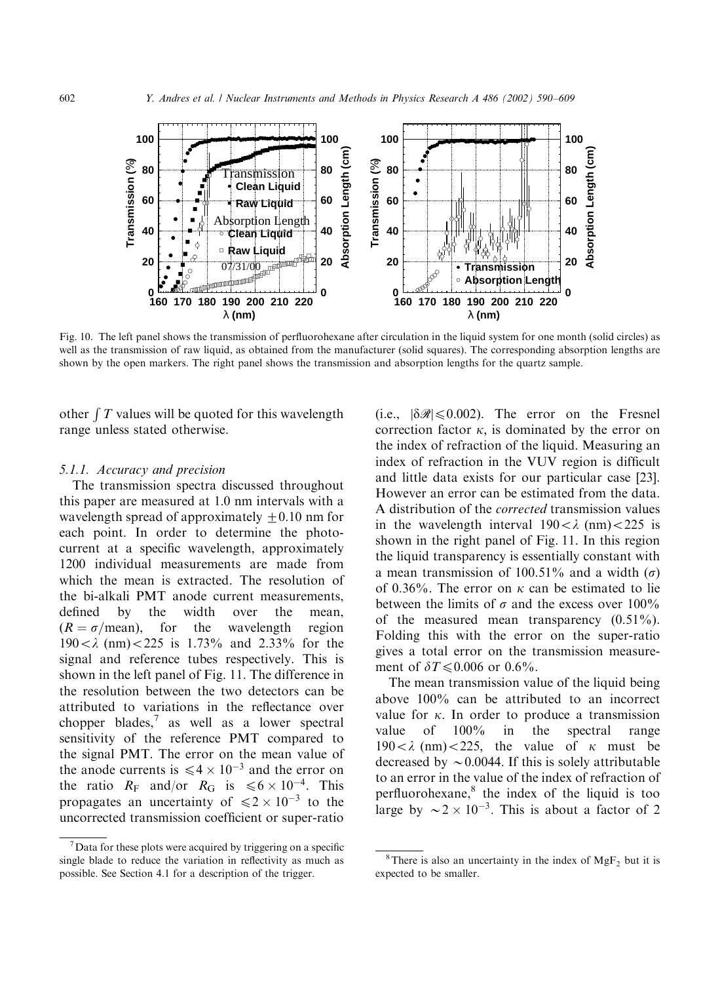

Fig. 10. The left panel shows the transmission of perfluorohexane after circulation in the liquid system for one month (solid circles) as well as the transmission of raw liquid, as obtained from the manufacturer (solid squares). The corresponding absorption lengths are shown by the open markers. The right panel shows the transmission and absorption lengths for the quartz sample.

other  $\int T$  values will be quoted for this wavelength range unless stated otherwise.

# 5.1.1. Accuracy and precision

The transmission spectra discussed throughout this paper are measured at 1:0 nm intervals with a wavelength spread of approximately  $\pm 0.10$  nm for each point. In order to determine the photocurrent at a specific wavelength, approximately 1200 individual measurements are made from which the mean is extracted. The resolution of the bi-alkali PMT anode current measurements, defined by the width over the mean,  $(R = \sigma/\text{mean})$ , for the wavelength region  $190 < \lambda$  (nm) $< 225$  is 1.73% and 2.33% for the signal and reference tubes respectively. This is shown in the left panel of Fig. 11. The difference in the resolution between the two detectors can be attributed to variations in the reflectance over chopper blades, $\frac{7}{1}$  as well as a lower spectral sensitivity of the reference PMT compared to the signal PMT. The error on the mean value of the anode currents is  $\leq 4 \times 10^{-3}$  and the error on the ratio  $R_F$  and/or  $R_G$  is  $\le 6 \times 10^{-4}$ . This propagates an uncertainty of  $\leq 2 \times 10^{-3}$  to the uncorrected transmission coefficient or super-ratio

(i.e.,  $|\delta \mathcal{R}| \leq 0.002$ ). The error on the Fresnel correction factor  $\kappa$ , is dominated by the error on the index of refraction of the liquid. Measuring an index of refraction in the VUV region is difficult and little data exists for our particular case [23]. However an error can be estimated from the data. A distribution of the corrected transmission values in the wavelength interval  $190 < \lambda$  (nm) $< 225$  is shown in the right panel of Fig. 11. In this region the liquid transparency is essentially constant with a mean transmission of 100.51% and a width  $(\sigma)$ of 0.36%. The error on  $\kappa$  can be estimated to lie between the limits of  $\sigma$  and the excess over 100% of the measured mean transparency  $(0.51\%)$ . Folding this with the error on the super-ratio gives a total error on the transmission measurement of  $\delta T \leq 0.006$  or 0.6%.

The mean transmission value of the liquid being above 100% can be attributed to an incorrect value for  $\kappa$ . In order to produce a transmission value of 100% in the spectral range 190 $\lt \lambda$  (nm) $\lt 225$ , the value of  $\kappa$  must be decreased by  $\sim 0.0044$ . If this is solely attributable to an error in the value of the index of refraction of perfluorohexane,<sup>8</sup> the index of the liquid is too large by  $\sim 2 \times 10^{-3}$ . This is about a factor of 2

 $7$  Data for these plots were acquired by triggering on a specific single blade to reduce the variation in reflectivity as much as possible. See Section 4.1 for a description of the trigger.

<sup>&</sup>lt;sup>8</sup>There is also an uncertainty in the index of  $MgF_2$  but it is expected to be smaller.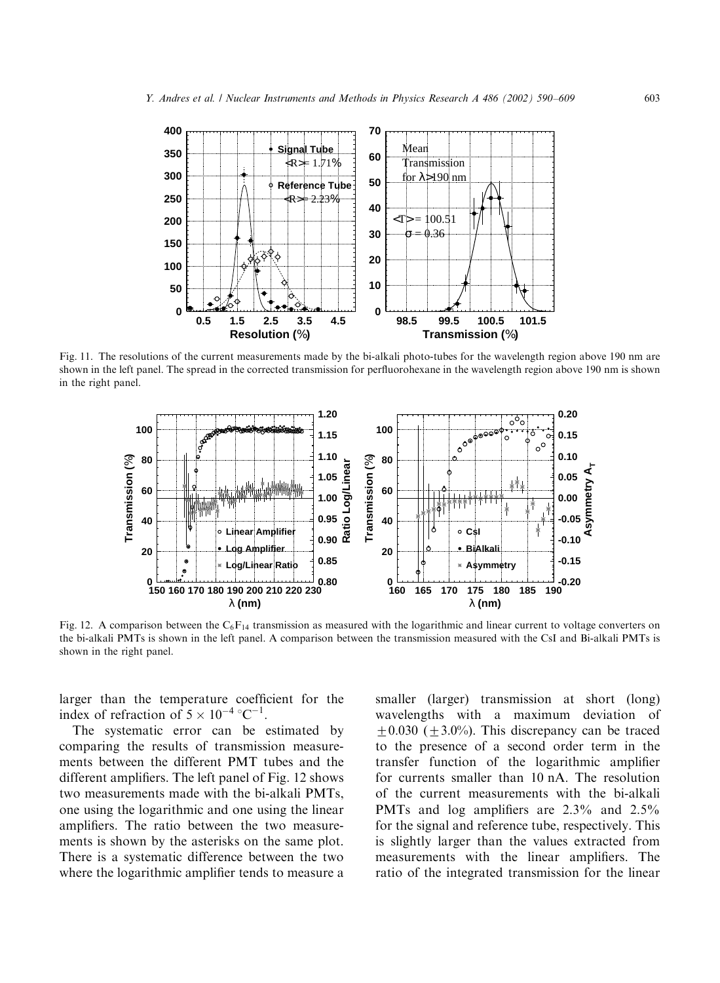

Fig. 11. The resolutions of the current measurements made by the bi-alkali photo-tubes for the wavelength region above 190 nm are shown in the left panel. The spread in the corrected transmission for perfluorohexane in the wavelength region above 190 nm is shown in the right panel.



Fig. 12. A comparison between the  $C_6F_{14}$  transmission as measured with the logarithmic and linear current to voltage converters on the bi-alkali PMTs is shown in the left panel. A comparison between the transmission measured with the CsI and Bi-alkali PMTs is shown in the right panel.

larger than the temperature coefficient for the index of refraction of  $5 \times 10^{-4}$  °C<sup>-1</sup>.

The systematic error can be estimated by comparing the results of transmission measurements between the different PMT tubes and the different amplifiers. The left panel of Fig. 12 shows two measurements made with the bi-alkali PMTs, one using the logarithmic and one using the linear amplifiers. The ratio between the two measurements is shown by the asterisks on the same plot. There is a systematic difference between the two where the logarithmic amplifier tends to measure a

smaller (larger) transmission at short (long) wavelengths with a maximum deviation of  $+0.030$  ( $+3.0\%$ ). This discrepancy can be traced to the presence of a second order term in the transfer function of the logarithmic amplifier for currents smaller than 10 nA: The resolution of the current measurements with the bi-alkali PMTs and log amplifiers are 2.3% and 2.5% for the signal and reference tube, respectively. This is slightly larger than the values extracted from measurements with the linear amplifiers. The ratio of the integrated transmission for the linear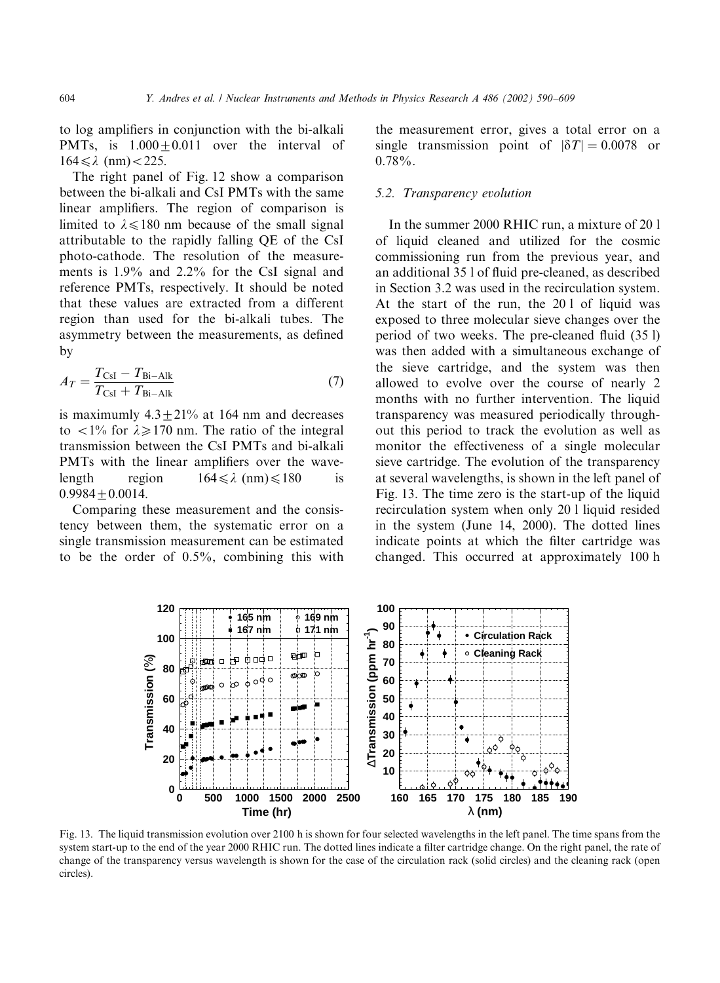to log amplifiers in conjunction with the bi-alkali PMTs, is  $1.000+0.011$  over the interval of  $164 \le \lambda$  (nm) $<$ 225.

The right panel of Fig. 12 show a comparison between the bi-alkali and CsI PMTs with the same linear amplifiers. The region of comparison is limited to  $\lambda \le 180$  nm because of the small signal attributable to the rapidly falling QE of the CsI photo-cathode. The resolution of the measurements is 1.9% and 2.2% for the CsI signal and reference PMTs, respectively. It should be noted that these values are extracted from a different region than used for the bi-alkali tubes. The asymmetry between the measurements, as defined by

$$
A_T = \frac{T_{\text{CsI}} - T_{\text{Bi-Alk}}}{T_{\text{CsI}} + T_{\text{Bi-Alk}}} \tag{7}
$$

is maximumly  $4.3 \pm 21\%$  at 164 nm and decreases to  $\langle 1\%$  for  $\lambda \ge 170$  nm. The ratio of the integral transmission between the CsI PMTs and bi-alkali PMTs with the linear amplifiers over the wavelength region  $164 \le \lambda$  (nm) $\le 180$  is  $0.9984+0.0014.$ 

Comparing these measurement and the consistency between them, the systematic error on a single transmission measurement can be estimated to be the order of 0.5%, combining this with

the measurement error, gives a total error on a single transmission point of  $|\delta T| = 0.0078$  or  $0.78\%$ .

## 5.2. Transparency evolution

In the summer 2000 RHIC run, a mixture of 20 l of liquid cleaned and utilized for the cosmic commissioning run from the previous year, and an additional 35 l of fluid pre-cleaned, as described in Section 3.2 was used in the recirculation system. At the start of the run, the 20 l of liquid was exposed to three molecular sieve changes over the period of two weeks. The pre-cleaned fluid (35 l) was then added with a simultaneous exchange of the sieve cartridge, and the system was then allowed to evolve over the course of nearly 2 months with no further intervention. The liquid transparency was measured periodically throughout this period to track the evolution as well as monitor the effectiveness of a single molecular sieve cartridge. The evolution of the transparency at several wavelengths, is shown in the left panel of Fig. 13. The time zero is the start-up of the liquid recirculation system when only 20 l liquid resided in the system (June 14, 2000). The dotted lines indicate points at which the filter cartridge was changed. This occurred at approximately 100 h



Fig. 13. The liquid transmission evolution over 2100 h is shown for four selected wavelengths in the left panel. The time spans from the system start-up to the end of the year 2000 RHIC run. The dotted lines indicate a filter cartridge change. On the right panel, the rate of change of the transparency versus wavelength is shown for the case of the circulation rack (solid circles) and the cleaning rack (open circles).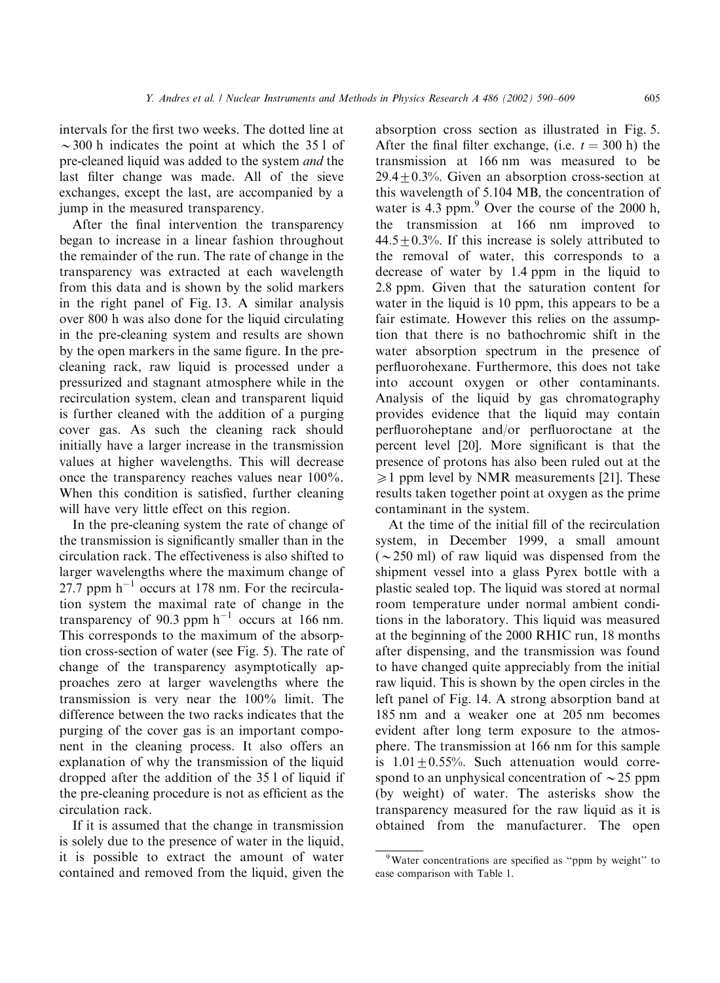intervals for the first two weeks. The dotted line at  $\sim$ 300 h indicates the point at which the 35 l of pre-cleaned liquid was added to the system *and* the last filter change was made. All of the sieve exchanges, except the last, are accompanied by a jump in the measured transparency.

After the final intervention the transparency began to increase in a linear fashion throughout the remainder of the run. The rate of change in the transparency was extracted at each wavelength from this data and is shown by the solid markers in the right panel of Fig. 13. A similar analysis over 800 h was also done for the liquid circulating in the pre-cleaning system and results are shown by the open markers in the same figure. In the precleaning rack, raw liquid is processed under a pressurized and stagnant atmosphere while in the recirculation system, clean and transparent liquid is further cleaned with the addition of a purging cover gas. As such the cleaning rack should initially have a larger increase in the transmission values at higher wavelengths. This will decrease once the transparency reaches values near 100%. When this condition is satisfied, further cleaning will have very little effect on this region.

In the pre-cleaning system the rate of change of the transmission is significantly smaller than in the circulation rack. The effectiveness is also shifted to larger wavelengths where the maximum change of 27.7 ppm  $h^{-1}$  occurs at 178 nm. For the recirculation system the maximal rate of change in the transparency of 90.3 ppm  $h^{-1}$  occurs at 166 nm. This corresponds to the maximum of the absorption cross-section of water (see Fig. 5). The rate of change of the transparency asymptotically approaches zero at larger wavelengths where the transmission is very near the 100% limit. The difference between the two racks indicates that the purging of the cover gas is an important component in the cleaning process. It also offers an explanation of why the transmission of the liquid dropped after the addition of the 35 l of liquid if the pre-cleaning procedure is not as efficient as the circulation rack.

If it is assumed that the change in transmission is solely due to the presence of water in the liquid, it is possible to extract the amount of water contained and removed from the liquid, given the absorption cross section as illustrated in Fig. 5. After the final filter exchange, (i.e.  $t = 300$  h) the transmission at 166 nm was measured to be  $29.4+0.3\%$ . Given an absorption cross-section at this wavelength of 5:104 MB; the concentration of water is  $4.3$  ppm.<sup>9</sup> Over the course of the 2000 h, the transmission at 166 nm improved to  $44.5+0.3\%$ . If this increase is solely attributed to the removal of water, this corresponds to a decrease of water by 1:4 ppm in the liquid to 2:8 ppm: Given that the saturation content for water in the liquid is 10 ppm; this appears to be a fair estimate. However this relies on the assumption that there is no bathochromic shift in the water absorption spectrum in the presence of perfluorohexane. Furthermore, this does not take into account oxygen or other contaminants. Analysis of the liquid by gas chromatography provides evidence that the liquid may contain perfluoroheptane and/or perfluoroctane at the percent level [20]. More significant is that the presence of protons has also been ruled out at the  $\geq 1$  ppm level by NMR measurements [21]. These results taken together point at oxygen as the prime contaminant in the system.

At the time of the initial fill of the recirculation system, in December 1999, a small amount  $(\sim 250 \text{ ml})$  of raw liquid was dispensed from the shipment vessel into a glass Pyrex bottle with a plastic sealed top. The liquid was stored at normal room temperature under normal ambient conditions in the laboratory. This liquid was measured at the beginning of the 2000 RHIC run, 18 months after dispensing, and the transmission was found to have changed quite appreciably from the initial raw liquid. This is shown by the open circles in the left panel of Fig. 14. A strong absorption band at 185 nm and a weaker one at 205 nm becomes evident after long term exposure to the atmosphere. The transmission at 166 nm for this sample is  $1.01+0.55\%$ . Such attenuation would correspond to an unphysical concentration of  $\sim$  25 ppm (by weight) of water. The asterisks show the transparency measured for the raw liquid as it is obtained from the manufacturer. The open

<sup>&</sup>lt;sup>9</sup>Water concentrations are specified as "ppm by weight" to ease comparison with Table 1.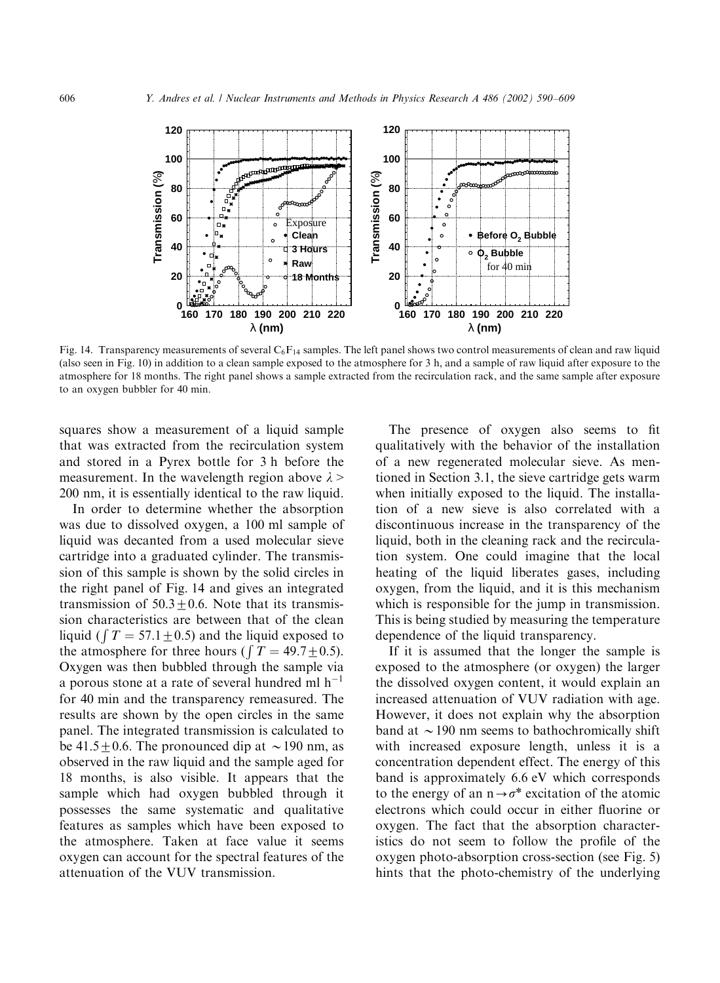

Fig. 14. Transparency measurements of several  $C_6F_{14}$  samples. The left panel shows two control measurements of clean and raw liquid (also seen in Fig. 10) in addition to a clean sample exposed to the atmosphere for 3 h; and a sample of raw liquid after exposure to the atmosphere for 18 months. The right panel shows a sample extracted from the recirculation rack, and the same sample after exposure to an oxygen bubbler for 40 min:

squares show a measurement of a liquid sample that was extracted from the recirculation system and stored in a Pyrex bottle for 3 h before the measurement. In the wavelength region above  $\lambda$  > 200 nm; it is essentially identical to the raw liquid.

In order to determine whether the absorption was due to dissolved oxygen, a 100 ml sample of liquid was decanted from a used molecular sieve cartridge into a graduated cylinder. The transmission of this sample is shown by the solid circles in the right panel of Fig. 14 and gives an integrated transmission of  $50.3+0.6$ . Note that its transmission characteristics are between that of the clean liquid ( $T = 57.1 \pm 0.5$ ) and the liquid exposed to the atmosphere for three hours ( $\int T = 49.7 \pm 0.5$ ). Oxygen was then bubbled through the sample via a porous stone at a rate of several hundred ml  $h^{-1}$ for 40 min and the transparency remeasured. The results are shown by the open circles in the same panel. The integrated transmission is calculated to be 41.5 $\pm$ 0.6. The pronounced dip at  $\sim$  190 nm, as observed in the raw liquid and the sample aged for 18 months, is also visible. It appears that the sample which had oxygen bubbled through it possesses the same systematic and qualitative features as samples which have been exposed to the atmosphere. Taken at face value it seems oxygen can account for the spectral features of the attenuation of the VUV transmission.

The presence of oxygen also seems to fit qualitatively with the behavior of the installation of a new regenerated molecular sieve. As mentioned in Section 3.1, the sieve cartridge gets warm when initially exposed to the liquid. The installation of a new sieve is also correlated with a discontinuous increase in the transparency of the liquid, both in the cleaning rack and the recirculation system. One could imagine that the local heating of the liquid liberates gases, including oxygen, from the liquid, and it is this mechanism which is responsible for the jump in transmission. This is being studied by measuring the temperature dependence of the liquid transparency.

If it is assumed that the longer the sample is exposed to the atmosphere (or oxygen) the larger the dissolved oxygen content, it would explain an increased attenuation of VUV radiation with age. However, it does not explain why the absorption band at  $\sim$  190 nm seems to bathochromically shift with increased exposure length, unless it is a concentration dependent effect. The energy of this band is approximately 6:6 eV which corresponds to the energy of an  $n \rightarrow \sigma^*$  excitation of the atomic electrons which could occur in either fluorine or oxygen. The fact that the absorption characteristics do not seem to follow the profile of the oxygen photo-absorption cross-section (see Fig. 5) hints that the photo-chemistry of the underlying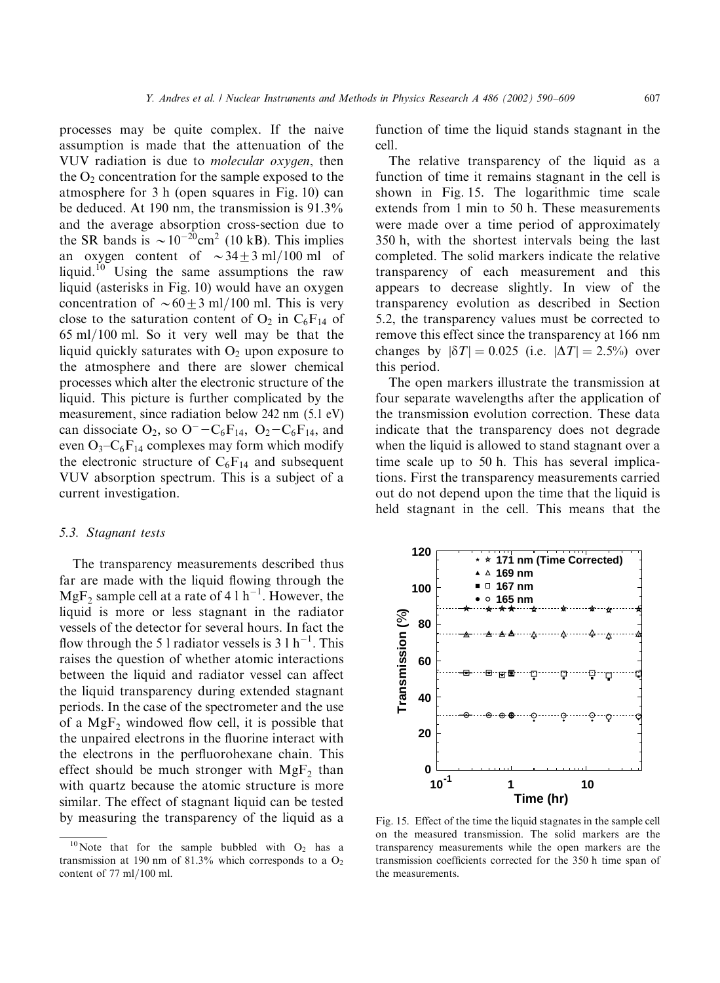processes may be quite complex. If the naive assumption is made that the attenuation of the VUV radiation is due to *molecular oxygen*, then the  $O<sub>2</sub>$  concentration for the sample exposed to the atmosphere for 3 h (open squares in Fig. 10) can be deduced. At 190 nm; the transmission is 91.3% and the average absorption cross-section due to the SR bands is  $\sim 10^{-20}$ cm<sup>2</sup> (10 kB). This implies an oxygen content of  $\sim 34\pm3$  ml/100 ml of liquid.<sup>10</sup> Using the same assumptions the raw liquid (asterisks in Fig. 10) would have an oxygen concentration of  $\sim 60 \pm 3$  ml/100 ml. This is very close to the saturation content of  $O_2$  in  $C_6F_{14}$  of  $65$  ml/100 ml. So it very well may be that the liquid quickly saturates with  $O<sub>2</sub>$  upon exposure to the atmosphere and there are slower chemical processes which alter the electronic structure of the

liquid. This picture is further complicated by the measurement, since radiation below 242 nm (5.1 eV) can dissociate  $O_2$ , so  $O^-$  -  $C_6F_{14}$ ,  $O_2$  -  $C_6F_{14}$ , and even  $O_3-C_6F_{14}$  complexes may form which modify the electronic structure of  $C_6F_{14}$  and subsequent VUV absorption spectrum. This is a subject of a current investigation.

#### 5.3. Stagnant tests

The transparency measurements described thus far are made with the liquid flowing through the  $MgF_2$  sample cell at a rate of 4 l h<sup>-1</sup>. However, the liquid is more or less stagnant in the radiator vessels of the detector for several hours. In fact the flow through the 5 l radiator vessels is  $3 \, 1 \, \text{h}^{-1}$ . This raises the question of whether atomic interactions between the liquid and radiator vessel can affect the liquid transparency during extended stagnant periods. In the case of the spectrometer and the use of a  $MgF_2$  windowed flow cell, it is possible that the unpaired electrons in the fluorine interact with the electrons in the perfluorohexane chain. This effect should be much stronger with  $MgF<sub>2</sub>$  than with quartz because the atomic structure is more similar. The effect of stagnant liquid can be tested by measuring the transparency of the liquid as a

function of time the liquid stands stagnant in the cell.

The relative transparency of the liquid as a function of time it remains stagnant in the cell is shown in Fig. 15. The logarithmic time scale extends from 1 min to 50 h. These measurements were made over a time period of approximately 350 h; with the shortest intervals being the last completed. The solid markers indicate the relative transparency of each measurement and this appears to decrease slightly. In view of the transparency evolution as described in Section 5.2, the transparency values must be corrected to remove this effect since the transparency at 166 nm changes by  $|\delta T| = 0.025$  (i.e.  $|\Delta T| = 2.5\%$ ) over this period.

The open markers illustrate the transmission at four separate wavelengths after the application of the transmission evolution correction. These data indicate that the transparency does not degrade when the liquid is allowed to stand stagnant over a time scale up to 50 h. This has several implications. First the transparency measurements carried out do not depend upon the time that the liquid is held stagnant in the cell. This means that the



Fig. 15. Effect of the time the liquid stagnates in the sample cell on the measured transmission. The solid markers are the transparency measurements while the open markers are the transmission coefficients corrected for the 350 h time span of the measurements.

 $10$  Note that for the sample bubbled with  $O_2$  has a transmission at 190 nm of 81.3% which corresponds to a  $O_2$ content of  $77$  ml $/100$  ml.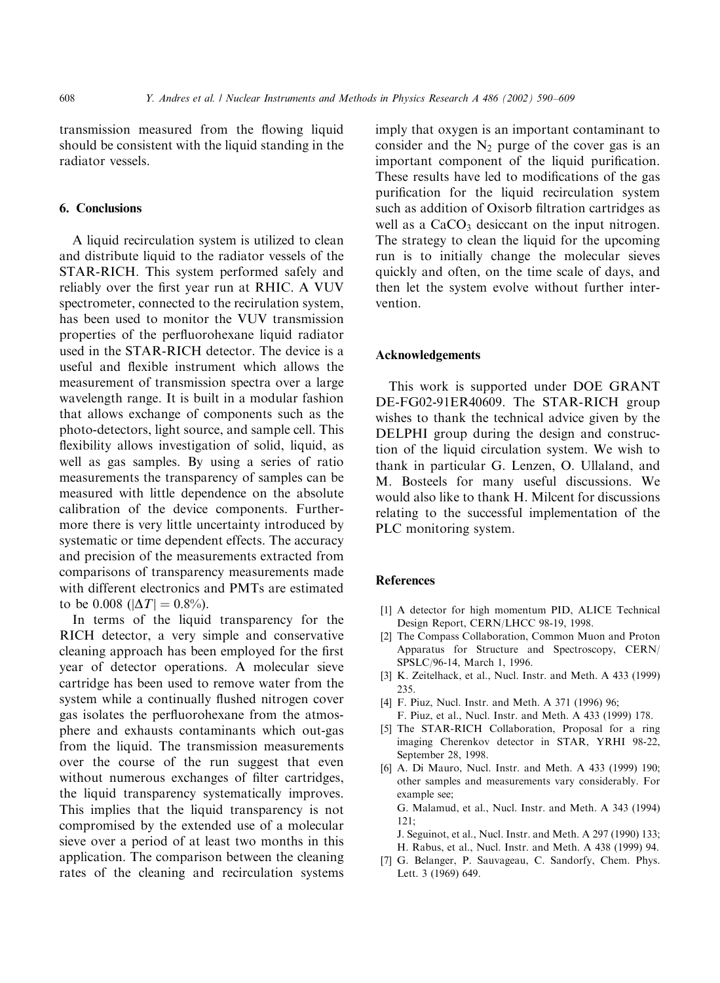transmission measured from the flowing liquid should be consistent with the liquid standing in the radiator vessels.

# 6. Conclusions

A liquid recirculation system is utilized to clean and distribute liquid to the radiator vessels of the STAR-RICH. This system performed safely and reliably over the first year run at RHIC. A VUV spectrometer, connected to the recirulation system, has been used to monitor the VUV transmission properties of the perfluorohexane liquid radiator used in the STAR-RICH detector. The device is a useful and flexible instrument which allows the measurement of transmission spectra over a large wavelength range. It is built in a modular fashion that allows exchange of components such as the photo-detectors, light source, and sample cell. This flexibility allows investigation of solid, liquid, as well as gas samples. By using a series of ratio measurements the transparency of samples can be measured with little dependence on the absolute calibration of the device components. Furthermore there is very little uncertainty introduced by systematic or time dependent effects. The accuracy and precision of the measurements extracted from comparisons of transparency measurements made with different electronics and PMTs are estimated to be 0.008 ( $|\Delta T| = 0.8\%$ ).

In terms of the liquid transparency for the RICH detector, a very simple and conservative cleaning approach has been employed for the first year of detector operations. A molecular sieve cartridge has been used to remove water from the system while a continually flushed nitrogen cover gas isolates the perfluorohexane from the atmosphere and exhausts contaminants which out-gas from the liquid. The transmission measurements over the course of the run suggest that even without numerous exchanges of filter cartridges, the liquid transparency systematically improves. This implies that the liquid transparency is not compromised by the extended use of a molecular sieve over a period of at least two months in this application. The comparison between the cleaning rates of the cleaning and recirculation systems imply that oxygen is an important contaminant to consider and the  $N_2$  purge of the cover gas is an important component of the liquid purification. These results have led to modifications of the gas purification for the liquid recirculation system such as addition of Oxisorb filtration cartridges as well as a  $CaCO<sub>3</sub>$  desiccant on the input nitrogen. The strategy to clean the liquid for the upcoming run is to initially change the molecular sieves quickly and often, on the time scale of days, and then let the system evolve without further intervention.

#### Acknowledgements

This work is supported under DOE GRANT DE-FG02-91ER40609. The STAR-RICH group wishes to thank the technical advice given by the DELPHI group during the design and construction of the liquid circulation system. We wish to thank in particular G. Lenzen, O. Ullaland, and M. Bosteels for many useful discussions. We would also like to thank H. Milcent for discussions relating to the successful implementation of the PLC monitoring system.

#### References

- [1] A detector for high momentum PID, ALICE Technical Design Report, CERN/LHCC 98-19, 1998.
- [2] The Compass Collaboration, Common Muon and Proton Apparatus for Structure and Spectroscopy, CERN/ SPSLC/96-14, March 1, 1996.
- [3] K. Zeitelhack, et al., Nucl. Instr. and Meth. A 433 (1999) 235.
- [4] F. Piuz, Nucl. Instr. and Meth. A 371 (1996) 96;
- F. Piuz, et al., Nucl. Instr. and Meth. A 433 (1999) 178. [5] The STAR-RICH Collaboration, Proposal for a ring imaging Cherenkov detector in STAR, YRHI 98-22, September 28, 1998.
- [6] A. Di Mauro, Nucl. Instr. and Meth. A 433 (1999) 190; other samples and measurements vary considerably. For example see;

G. Malamud, et al., Nucl. Instr. and Meth. A 343 (1994)  $121$ 

J. Seguinot, et al., Nucl. Instr. and Meth. A 297 (1990) 133; H. Rabus, et al., Nucl. Instr. and Meth. A 438 (1999) 94.

[7] G. Belanger, P. Sauvageau, C. Sandorfy, Chem. Phys. Lett. 3 (1969) 649.